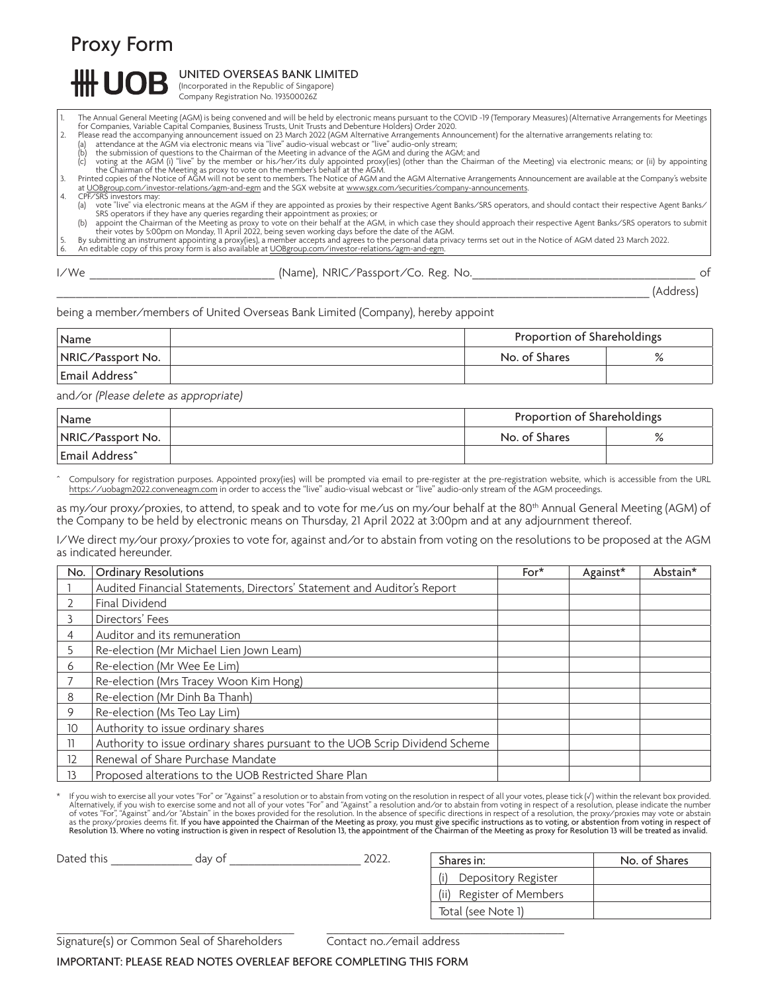Proxy Form

## UNITED OVERSEAS BANK LIMITED

(Incorporated in the Republic of Singapore) Company Registration No. 193500026Z

- 1. The Annual General Meeting (AGM) is being convened and will be held by electronic means pursuant to the COVID -19 (Temporary Measures) (Alternative Arrangements for Meetings<br>For Companies, Variable Capital Companies
	-
- 
- 

(a) attendance at the AGM via electronic means via "live" audio-visual webcast or "live" audio-only stream;<br>(b) the submission of questions to the Chairman of the Meeting in advance of the AGM and during the AGM; and<br>(c) v

at [UOBgroup.com/investor-relations/agm-and-egm](www.UOBgroup.com/investor-relations/agm-and-egm) and the SGX website at www.sgx.com/securities/company-announcements. 4. CPF/SRS investors may: (a) vote "live" via electronic means at the AGM if they are appointed as proxies by their respective Agent Banks/SRS operators, and should contact their respective Agent Banks/

SRS operators if they have any queries regarding their appointment as proxies; or<br>(b) appoint the Chairman of the Meeting as proxy to vote on their behalf at the AGM, in which case they should approach their respective Age

5. By submitting an instrument appointing a proxy(ies), a member accepts and agrees to the personal data privacy terms set out in the Notice of AGM dated 23 March 2022.<br>6. An editable copy of this proxy form is also av

I/We **Example 20 Controller (Name), NRIC/Passport/Co. Reg. No. No.** 2014 12:30 2015 \_\_\_\_\_\_\_\_\_\_\_\_\_\_\_\_\_\_\_\_\_\_\_\_\_\_\_\_\_\_\_\_\_\_\_\_\_\_\_\_\_\_\_\_\_\_\_\_\_\_\_\_\_\_\_\_\_\_\_\_\_\_\_\_\_\_\_\_\_\_\_\_\_\_\_\_\_\_\_\_\_\_\_\_\_\_\_\_\_\_\_\_\_ (Address)

No. of Shares

being a member/members of United Overseas Bank Limited (Company), hereby appoint

| Name              | Proportion of Shareholdings |  |
|-------------------|-----------------------------|--|
| NRIC/Passport No. | No. of Shares               |  |
| Email Address^    |                             |  |

and/or (Please delete as appropriate)

| Name                       | Proportion of Shareholdings |              |
|----------------------------|-----------------------------|--------------|
| <b>NRIC/Passport No.</b>   | No. of Shares               | $\mathbf{o}$ |
| Email Address <sup>^</sup> |                             |              |

Compulsory for registration purposes. Appointed proxy(ies) will be prompted via email to pre-register at the pre-registration website, which is accessible from the URL https://uobagm2022.conveneagm.com in order to access the "live" audio-visual webcast or "live" audio-only stream of the AGM proceedings.

as my/our proxy/proxies, to attend, to speak and to vote for me/us on my/our behalf at the 80<sup>th</sup> Annual General Meeting (AGM) of the Company to be held by electronic means on Thursday, 21 April 2022 at 3:00pm and at any adjournment thereof.

I/We direct my/our proxy/proxies to vote for, against and/or to abstain from voting on the resolutions to be proposed at the AGM as indicated hereunder.

| No. | <b>Ordinary Resolutions</b>                                                  | $For*$ | Against* | Abstain* |
|-----|------------------------------------------------------------------------------|--------|----------|----------|
|     | Audited Financial Statements, Directors' Statement and Auditor's Report      |        |          |          |
|     | Final Dividend                                                               |        |          |          |
|     | Directors' Fees                                                              |        |          |          |
| 4   | Auditor and its remuneration                                                 |        |          |          |
| 5   | Re-election (Mr Michael Lien Jown Leam)                                      |        |          |          |
| 6   | Re-election (Mr Wee Ee Lim)                                                  |        |          |          |
|     | Re-election (Mrs Tracey Woon Kim Hong)                                       |        |          |          |
| 8   | Re-election (Mr Dinh Ba Thanh)                                               |        |          |          |
| 9   | Re-election (Ms Teo Lay Lim)                                                 |        |          |          |
| 10  | Authority to issue ordinary shares                                           |        |          |          |
| 11  | Authority to issue ordinary shares pursuant to the UOB Scrip Dividend Scheme |        |          |          |
| 12  | Renewal of Share Purchase Mandate                                            |        |          |          |
| 13  | Proposed alterations to the UOB Restricted Share Plan                        |        |          |          |

Fyou wish to exercise all your votes "For" or "Against" a resolution or to abstain from voting on the resolution in respect of all your votes, please tick ( $\sqrt$ ) within the relevant box provided.<br>Alternatively, if you wish

| Dated this | day of | 2022 | Shares in:               |  |
|------------|--------|------|--------------------------|--|
|            |        |      | Depository Register      |  |
|            |        |      | (ii) Register of Members |  |
|            |        |      | Total (see Note 1)       |  |

Signature(s) or Common Seal of Shareholders Contact no./email address

 $\_$  , and the state of the state of the state of the state of the state of the state of the state of the state of the state of the state of the state of the state of the state of the state of the state of the state of the

IMPORTANT: PLEASE READ NOTES OVERLEAF BEFORE COMPLETING THIS FORM